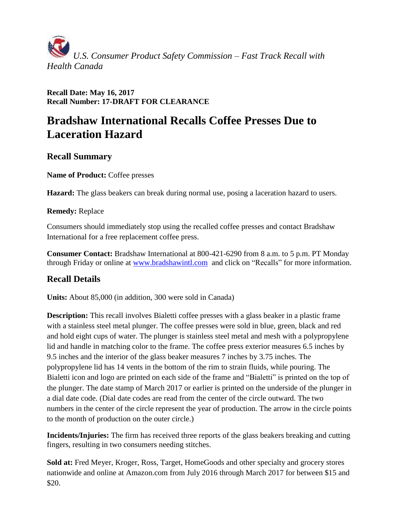*U.S. Consumer Product Safety Commission – Fast Track Recall with Health Canada*

## **Recall Date: May 16, 2017 Recall Number: 17-DRAFT FOR CLEARANCE**

# **Bradshaw International Recalls Coffee Presses Due to Laceration Hazard**

# **Recall Summary**

**Name of Product:** Coffee presses

**Hazard:** The glass beakers can break during normal use, posing a laceration hazard to users.

## **Remedy:** Replace

Consumers should immediately stop using the recalled coffee presses and contact Bradshaw International for a free replacement coffee press.

**Consumer Contact:** Bradshaw International at 800-421-6290 from 8 a.m. to 5 p.m. PT Monday through Friday or online at [www.bradshawintl.com](http://www.bradshawintl.com/) and click on "Recalls" for more information.

# **Recall Details**

**Units:** About 85,000 (in addition, 300 were sold in Canada)

**Description:** This recall involves Bialetti coffee presses with a glass beaker in a plastic frame with a stainless steel metal plunger. The coffee presses were sold in blue, green, black and red and hold eight cups of water. The plunger is stainless steel metal and mesh with a polypropylene lid and handle in matching color to the frame. The coffee press exterior measures 6.5 inches by 9.5 inches and the interior of the glass beaker measures 7 inches by 3.75 inches. The polypropylene lid has 14 vents in the bottom of the rim to strain fluids, while pouring. The Bialetti icon and logo are printed on each side of the frame and "Bialetti" is printed on the top of the plunger. The date stamp of March 2017 or earlier is printed on the underside of the plunger in a dial date code. (Dial date codes are read from the center of the circle outward. The two numbers in the center of the circle represent the year of production. The arrow in the circle points to the month of production on the outer circle.)

**Incidents/Injuries:** The firm has received three reports of the glass beakers breaking and cutting fingers, resulting in two consumers needing stitches.

**Sold at:** Fred Meyer, Kroger, Ross, Target, HomeGoods and other specialty and grocery stores nationwide and online at Amazon.com from July 2016 through March 2017 for between \$15 and \$20.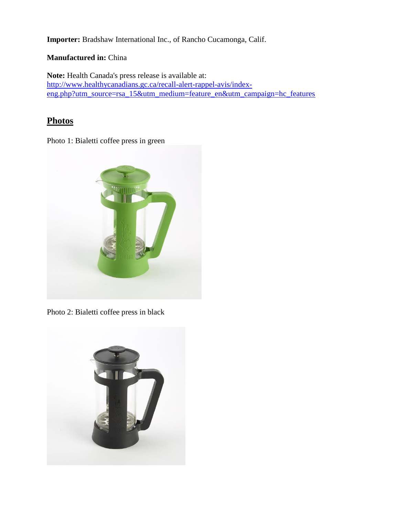**Importer:** Bradshaw International Inc., of Rancho Cucamonga, Calif.

## **Manufactured in: China**

Note: Health Canada's press release is available at: http://www.healthycanadians.gc.ca/recall-alert-rappel-avis/indexeng.php?utm\_source=rsa\_15&utm\_medium=feature\_en&utm\_campaign=hc\_features

## **Photos**

Photo 1: Bialetti coffee press in green



Photo 2: Bialetti coffee press in black

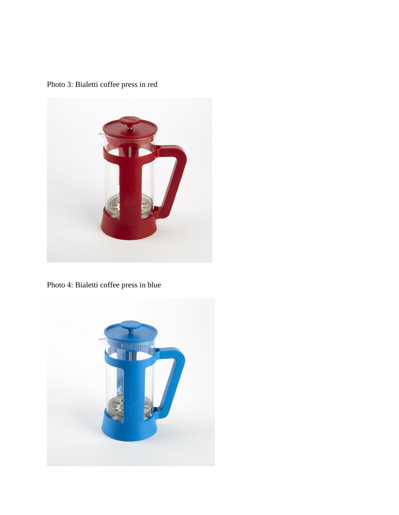Photo 3: Bialetti coffee press in red



Photo 4: Bialetti coffee press in blue

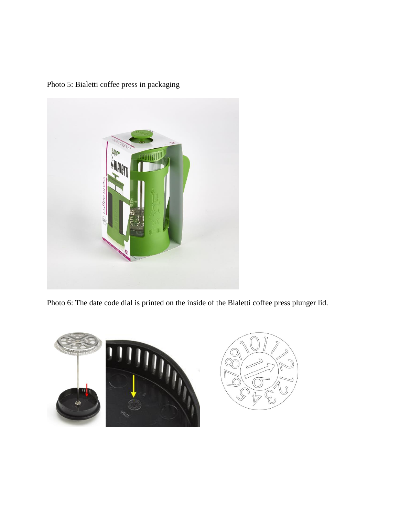Photo 5: Bialetti coffee press in packaging



Photo 6: The date code dial is printed on the inside of the Bialetti coffee press plunger lid.